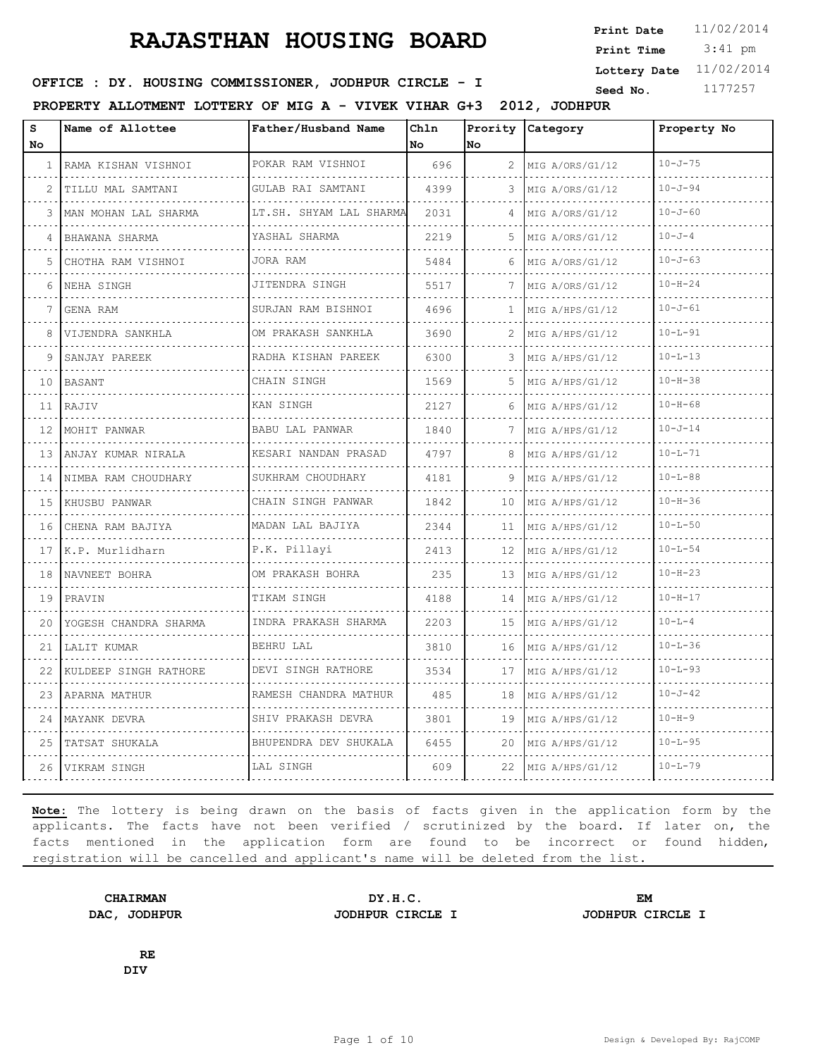3:41 pm **Print Date**  $11/02/2014$ **Print Time Lottery Date** 11/02/2014

### **SEED : DY. HOUSING COMMISSIONER, JODHPUR CIRCLE - I** Seed No. 1177257

**PROPERTY ALLOTMENT LOTTERY OF MIG A - VIVEK VIHAR G+3 2012, JODHPUR**

| S<br>No. | Name of Allottee        | Father/Husband Name               | Chln<br>No | Prority<br>No | Category             | Property No   |
|----------|-------------------------|-----------------------------------|------------|---------------|----------------------|---------------|
| 1        | RAMA KISHAN VISHNOI     | POKAR RAM VISHNOI<br>.            | 696        | 2             | MIG A/ORS/G1/12<br>. | $10 - J - 75$ |
| 2        | TILLU MAL SAMTANI       | GULAB RAI SAMTANI<br>.            | 4399       | 3             | MIG A/ORS/G1/12      | $10 - J - 94$ |
| 3        | MAN MOHAN LAL SHARMA    | LT.SH. SHYAM LAL SHARMA           | 2031       | 4             | MIG A/ORS/G1/12      | $10 - J - 60$ |
| 4        | BHAWANA SHARMA          | YASHAL SHARMA                     | 2219       | .5            | MIG A/ORS/G1/12      | $10 - J - 4$  |
| 5        | .<br>CHOTHA RAM VISHNOI | dia a dia a dia a dia<br>JORA RAM | 5484       | 6             | MIG A/ORS/G1/12      | $10 - J - 63$ |
| 6        | NEHA SINGH              | JITENDRA SINGH                    | 5517       | 7             | MIG A/ORS/G1/12      | $10 - H - 24$ |
| 7        | <b>GENA RAM</b>         | SURJAN RAM BISHNOI                | 4696       | 1             | MIG A/HPS/G1/12      | $10 - J - 61$ |
| 8        | VIJENDRA SANKHLA        | OM PRAKASH SANKHLA                | 3690       | 2             | MIG A/HPS/G1/12      | $10 - L - 91$ |
| 9        | SANJAY PAREEK           | .<br>RADHA KISHAN PAREEK          | 6300       | 3             | MIG A/HPS/G1/12      | $10 - L - 13$ |
| 10       | BASANT                  | CHAIN SINGH                       | 1569       | 5             | MIG A/HPS/G1/12      | $10 - H - 38$ |
| 11       | RAJIV                   | KAN SINGH                         | 2127       | 6             | MIG A/HPS/G1/12      | $10 - H - 68$ |
| 12       | MOHIT PANWAR            | <b>BABU LAL PANWAR</b>            | 1840       | 7             | MIG A/HPS/G1/12      | $10 - J - 14$ |
| 13       | ANJAY KUMAR NIRALA      | KESARI NANDAN PRASAD              | 4797       | 8             | MIG A/HPS/G1/12      | $10 - L - 71$ |
| 14       | NIMBA RAM CHOUDHARY     | SUKHRAM CHOUDHARY                 | 4181       | 9             | MIG A/HPS/G1/12      | $10 - L - 88$ |
| 15       | KHUSBU PANWAR           | CHAIN SINGH PANWAR                | 1842       | 10            | MIG A/HPS/G1/12      | $10 - H - 36$ |
| 16       | CHENA RAM BAJIYA        | MADAN LAL BAJIYA                  | 2344       | 11            | MIG A/HPS/G1/12      | $10 - L - 50$ |
| 17       | K.P. Murlidharn         | .<br>P.K. Pillayi                 | 2413       | 12            | MIG A/HPS/G1/12      | $10 - L - 54$ |
| 18       | NAVNEET BOHRA           | OM PRAKASH BOHRA                  | 235        | 13            | MIG A/HPS/G1/12      | $10 - H - 23$ |
| 19       | PRAVIN                  | TIKAM SINGH                       | 4188       | 14            | MIG A/HPS/G1/12      | $10 - H - 17$ |
| 20       | YOGESH CHANDRA SHARMA   | INDRA PRAKASH SHARMA              | 2203       | 15            | MIG A/HPS/G1/12      | $10 - T - 4$  |
| 21       | LALIT KUMAR             | BEHRU LAL                         | 3810       | 16            | MIG A/HPS/G1/12      | $10 - L - 36$ |
| 22       | KULDEEP SINGH RATHORE   | DEVI SINGH RATHORE                | 3534       | 17            | MIG A/HPS/G1/12      | $10 - L - 93$ |
| 23       | APARNA MATHUR           | RAMESH CHANDRA MATHUR             | 485        | 18            | MIG A/HPS/G1/12      | $10 - J - 42$ |
| 24       | MAYANK DEVRA            | SHIV PRAKASH DEVRA                | 3801       | 19            | MIG A/HPS/G1/12      | $10 - H - 9$  |
| 25       | TATSAT SHUKALA          | BHUPENDRA DEV SHUKALA             | 6455       | 20            | MIG A/HPS/G1/12      | $10 - L - 95$ |
| 26       | VIKRAM SINGH            | LAL SINGH                         | 609        | 22            | MIG A/HPS/G1/12      | $10 - L - 79$ |

**Note:** The lottery is being drawn on the basis of facts given in the application form by the applicants. The facts have not been verified / scrutinized by the board. If later on, the facts mentioned in the application form are found to be incorrect or found hidden, registration will be cancelled and applicant's name will be deleted from the list.

**CHAIRMAN DY.H.C. EM DAC, JODHPUR JODHPUR CIRCLE I JODHPUR CIRCLE I**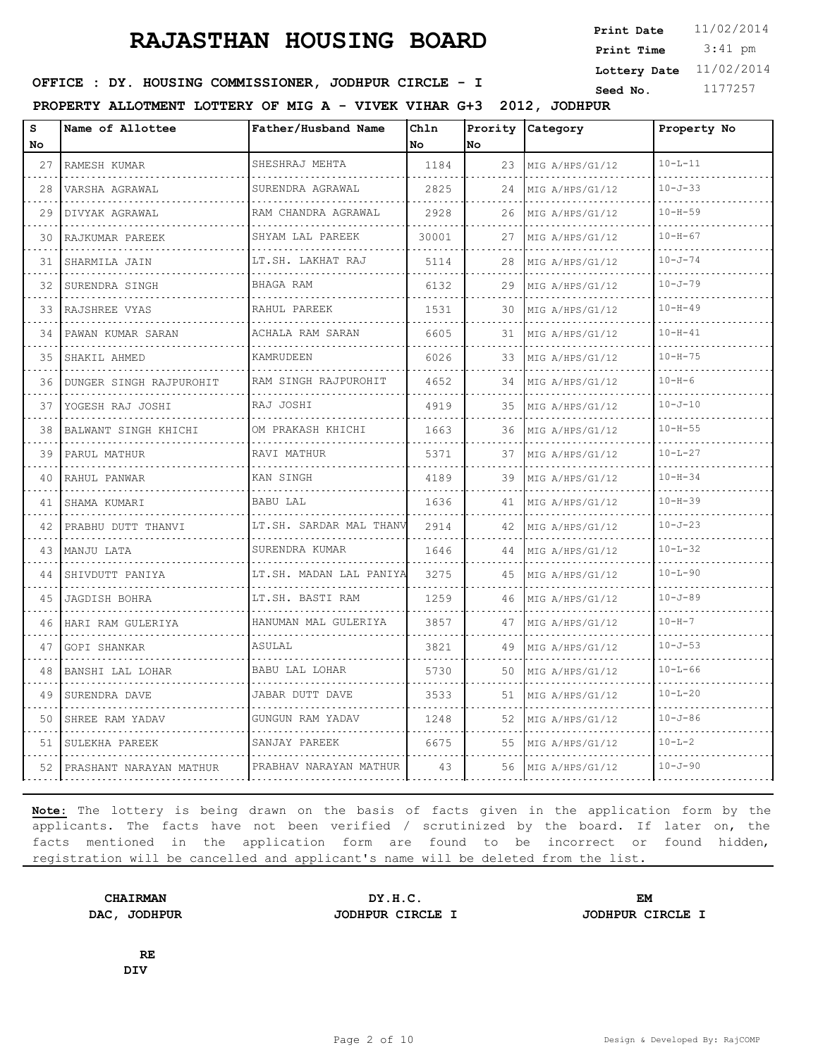3:41 pm **Print Date**  $11/02/2014$ **Print Time Lottery Date** 11/02/2014

### **SEED : DY. HOUSING COMMISSIONER, JODHPUR CIRCLE - I** Seed No. 1177257

**PROPERTY ALLOTMENT LOTTERY OF MIG A - VIVEK VIHAR G+3 2012, JODHPUR**

| s<br>No | Name of Allottee        | Father/Husband Name          | Chln<br>No. | lNo. | Prority Category | Property No   |
|---------|-------------------------|------------------------------|-------------|------|------------------|---------------|
| 27      | RAMESH KUMAR            | SHESHRAJ MEHTA               | 1184        | 23   | MIG A/HPS/G1/12  | $10 - L - 11$ |
| 28      | .<br>VARSHA AGRAWAL     | .<br>SURENDRA AGRAWAL        | 2825        | 24   | MIG A/HPS/G1/12  | $10 - J - 33$ |
| 29      | DIVYAK AGRAWAL          | RAM CHANDRA AGRAWAL          | 2928        | 26   | MIG A/HPS/G1/12  | $10 - H - 59$ |
| 30      | RAJKUMAR PAREEK         | SHYAM LAL PAREEK             | 30001       | 27   | MIG A/HPS/G1/12  | $10 - H - 67$ |
| 31      | SHARMILA JAIN           | .<br>LT.SH. LAKHAT RAJ       | 5114        | 28   | MIG A/HPS/G1/12  | $10 - J - 74$ |
| 32      | SURENDRA SINGH          | BHAGA RAM                    | 6132        | 29   | MIG A/HPS/G1/12  | $10 - J - 79$ |
| 33      | RAJSHREE VYAS           | RAHUL PAREEK                 | 1531        | 30   | MIG A/HPS/G1/12  | $10 - H - 49$ |
| 34      | PAWAN KUMAR SARAN       | .<br>ACHALA RAM SARAN        | 6605        | 31   | MIG A/HPS/G1/12  | $10 - H - 41$ |
| 35      | SHAKIL AHMED            | KAMRUDEEN                    | 6026        | 33   | MIG A/HPS/G1/12  | $10 - H - 75$ |
| 36      | DUNGER SINGH RAJPUROHIT | RAM SINGH RAJPUROHIT         | 4652        | 34   | MIG A/HPS/G1/12  | $10 - H - 6$  |
| 37      | YOGESH RAJ JOSHI        | RAJ JOSHI                    | 4919        | 35   | MIG A/HPS/G1/12  | $10 - J - 10$ |
| 38      | BALWANT SINGH KHICHI    | OM PRAKASH KHICHI            | 1663        | 36   | MIG A/HPS/G1/12  | $10 - H - 55$ |
| 39      | PARUL MATHUR            | RAVI MATHUR<br>.             | 5371        | 37   | MIG A/HPS/G1/12  | $10 - L - 27$ |
| 40      | RAHUL PANWAR            | KAN SINGH                    | 4189        | 39   | MIG A/HPS/G1/12  | $10 - H - 34$ |
| 41      | SHAMA KUMARI            | <b>BABU LAL</b>              | 1636        | 41   | MIG A/HPS/G1/12  | $10 - H - 39$ |
| 42      | PRABHU DUTT THANVI      | LT.SH. SARDAR MAL THANV      | 2914        | 42   | MIG A/HPS/G1/12  | $10 - J - 23$ |
| 43      | MANJU LATA              | SURENDRA KUMAR               | 1646        | 44   | MIG A/HPS/G1/12  | $10 - L - 32$ |
| 44      | SHIVDUTT PANIYA         | LT.SH. MADAN LAL PANIYA<br>. | 3275        | 45   | MIG A/HPS/G1/12  | $10 - L - 90$ |
| 45      | JAGDISH BOHRA           | LT.SH. BASTI RAM<br>.        | 1259        | 46   | MIG A/HPS/G1/12  | $10 - J - 89$ |
| 46      | HARI RAM GULERIYA       | HANUMAN MAL GULERIYA         | 3857        | 47   | MIG A/HPS/G1/12  | $10 - H - 7$  |
| 47      | GOPI SHANKAR            | ASULAL                       | 3821        | 49   | MIG A/HPS/G1/12  | $10 - J - 53$ |
| 48      | BANSHI LAL LOHAR        | BABU LAL LOHAR               | 5730        | 50   | MIG A/HPS/G1/12  | $10 - L - 66$ |
| 49      | SURENDRA DAVE           | JABAR DUTT DAVE              | 3533        | 51   | MIG A/HPS/G1/12  | $10 - L - 20$ |
| 50      | SHREE RAM YADAV         | GUNGUN RAM YADAV             | 1248        | 52   | MIG A/HPS/G1/12  | $10 - J - 86$ |
| 51      | SULEKHA PAREEK          | SANJAY PAREEK                | 6675        | 55   | MIG A/HPS/G1/12  | $10 - L - 2$  |
| 52      | PRASHANT NARAYAN MATHUR | PRABHAV NARAYAN MATHUR       | 43          | 56.  | MIG A/HPS/G1/12  | $10 - J - 90$ |

**Note:** The lottery is being drawn on the basis of facts given in the application form by the applicants. The facts have not been verified / scrutinized by the board. If later on, the facts mentioned in the application form are found to be incorrect or found hidden, registration will be cancelled and applicant's name will be deleted from the list.

**DAC, JODHPUR JODHPUR CIRCLE I JODHPUR CIRCLE I**

**CHAIRMAN DY.H.C. EM**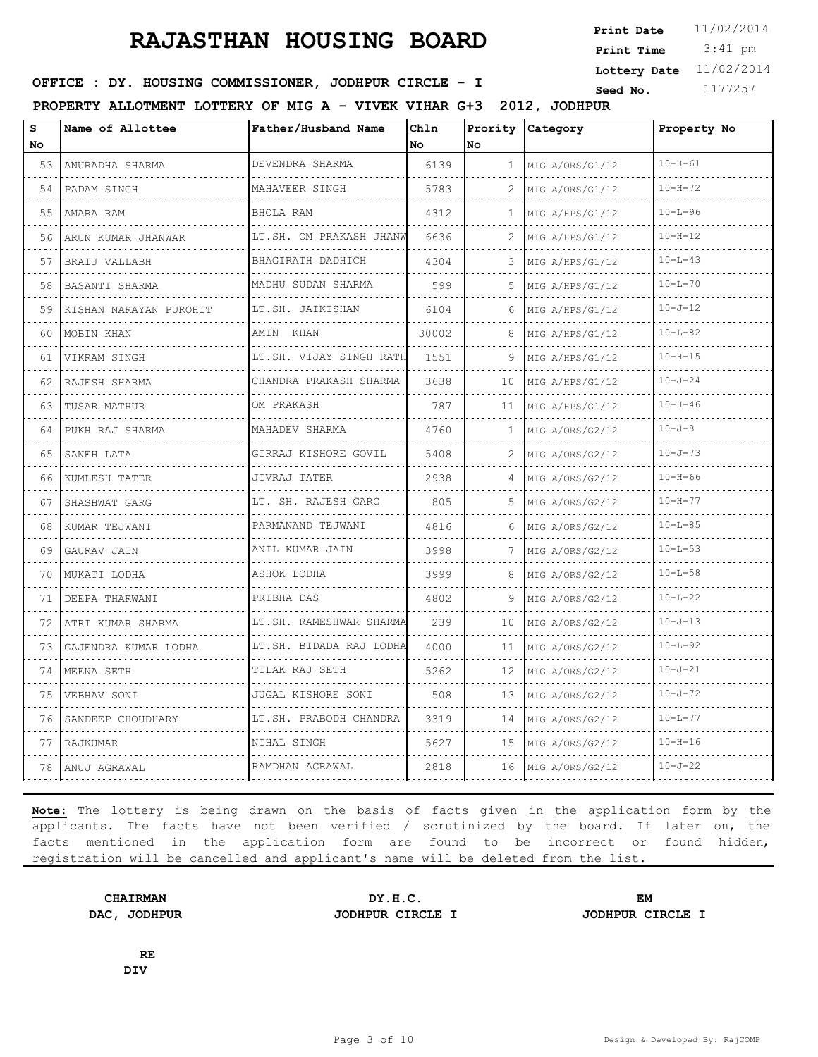3:41 pm **Print Date**  $11/02/2014$ **Print Time Lottery Date** 11/02/2014

### **SEED : DY. HOUSING COMMISSIONER, JODHPUR CIRCLE - I** Seed No. 1177257

**PROPERTY ALLOTMENT LOTTERY OF MIG A - VIVEK VIHAR G+3 2012, JODHPUR**

| s<br>No | Name of Allottee       | Father/Husband Name                 | Chln<br>No. | Prority<br>No.  | Category             | Property No   |
|---------|------------------------|-------------------------------------|-------------|-----------------|----------------------|---------------|
| 53      | ANURADHA SHARMA        | DEVENDRA SHARMA<br>.                | 6139        | 1               | MIG A/ORS/G1/12      | $10 - H - 61$ |
| 54      | PADAM SINGH            | MAHAVEER SINGH                      | 5783        | 2               | .<br>MIG A/ORS/G1/12 | $10 - H - 72$ |
| 55      | AMARA RAM              | BHOLA RAM                           | 4312        | 1               | MIG A/HPS/G1/12      | $10 - L - 96$ |
| 56      | ARUN KUMAR JHANWAR     | LT.SH. OM PRAKASH JHANW             | 6636        | 2               | MIG A/HPS/G1/12      | $10 - H - 12$ |
| 57      | BRAIJ VALLABH<br>.     | BHAGIRATH DADHICH<br>.              | 4304        | 3               | MIG A/HPS/G1/12<br>. | $10 - L - 43$ |
| 58      | BASANTI SHARMA         | MADHU SUDAN SHARMA                  | 599         | .5.             | MIG A/HPS/G1/12      | $10 - L - 70$ |
| 59      | KISHAN NARAYAN PUROHIT | LT.SH. JAIKISHAN                    | 6104        | 6               | MIG A/HPS/G1/12      | $10 - J - 12$ |
| 60      | MOBIN KHAN             | AMIN KHAN                           | 30002       | 8               | MIG A/HPS/G1/12      | $10 - L - 82$ |
| 61      | VIKRAM SINGH           | LT.SH. VIJAY SINGH RATH             | 1551        | 9               | MIG A/HPS/G1/12      | $10 - H - 15$ |
| 62      | RAJESH SHARMA          | CHANDRA PRAKASH SHARMA              | 3638        | 10              | MIG A/HPS/G1/12      | $10 - J - 24$ |
| 63      | TUSAR MATHUR           | OM PRAKASH                          | 787         | 11              | MIG A/HPS/G1/12<br>. | $10 - H - 46$ |
| 64      | PUKH RAJ SHARMA        | MAHADEV SHARMA                      | 4760        | 1               | MIG A/ORS/G2/12      | $10 - J - 8$  |
| 65      | SANEH LATA<br>.        | GIRRAJ KISHORE GOVIL<br>.           | 5408        | 2               | MIG A/ORS/G2/12<br>. | $10 - J - 73$ |
| 66      | KUMLESH TATER          | JIVRAJ TATER<br>.                   | 2938        | 4               | MIG A/ORS/G2/12      | $10 - H - 66$ |
| 67      | SHASHWAT GARG          | LT. SH. RAJESH GARG                 | 805         | 5.              | MIG A/ORS/G2/12      | $10 - H - 77$ |
| 68      | KUMAR TEJWANI          | PARMANAND TEJWANI                   | 4816        | 6               | MIG A/ORS/G2/12      | $10 - L - 85$ |
| 69      | GAURAV JAIN            | ANIL KUMAR JAIN<br>.                | 3998        | 7               | MIG A/ORS/G2/12<br>. | $10 - L - 53$ |
| 70      | MUKATI LODHA           | ASHOK LODHA                         | 3999        | 8               | MIG A/ORS/G2/12      | $10 - L - 58$ |
| 71      | DEEPA THARWANI         | PRIBHA DAS                          | 4802        | 9               | MIG A/ORS/G2/12      | $10 - L - 22$ |
| 72      | ATRI KUMAR SHARMA<br>. | LT.SH. RAMESHWAR SHARMA<br><u>.</u> | 239         | 10              | MIG A/ORS/G2/12      | $10 - J - 13$ |
| 73      | GAJENDRA KUMAR LODHA   | LT.SH. BIDADA RAJ LODHA             | 4000        | 11              | MIG A/ORS/G2/12      | $10 - L - 92$ |
| 74      | MEENA SETH             | TILAK RAJ SETH                      | 5262        | 12 <sup>°</sup> | MIG A/ORS/G2/12      | $10 - J - 21$ |
| 75      | VEBHAV SONI            | JUGAL KISHORE SONI                  | 508         | 13              | MIG A/ORS/G2/12      | $10 - J - 72$ |
| 76      | SANDEEP CHOUDHARY      | LT.SH. PRABODH CHANDRA              | 3319        | 14              | MIG A/ORS/G2/12      | $10 - L - 77$ |
| 77      | RAJKUMAR               | NIHAL SINGH                         | 5627        | 15              | MIG A/ORS/G2/12      | $10 - H - 16$ |
| 78      | ANUJ AGRAWAL           | RAMDHAN AGRAWAL                     | 2818        | 16              | MIG A/ORS/G2/12      | $10 - J - 22$ |

**Note:** The lottery is being drawn on the basis of facts given in the application form by the applicants. The facts have not been verified / scrutinized by the board. If later on, the facts mentioned in the application form are found to be incorrect or found hidden, registration will be cancelled and applicant's name will be deleted from the list.

**CHAIRMAN DY.H.C. EM DAC, JODHPUR JODHPUR CIRCLE I JODHPUR CIRCLE I**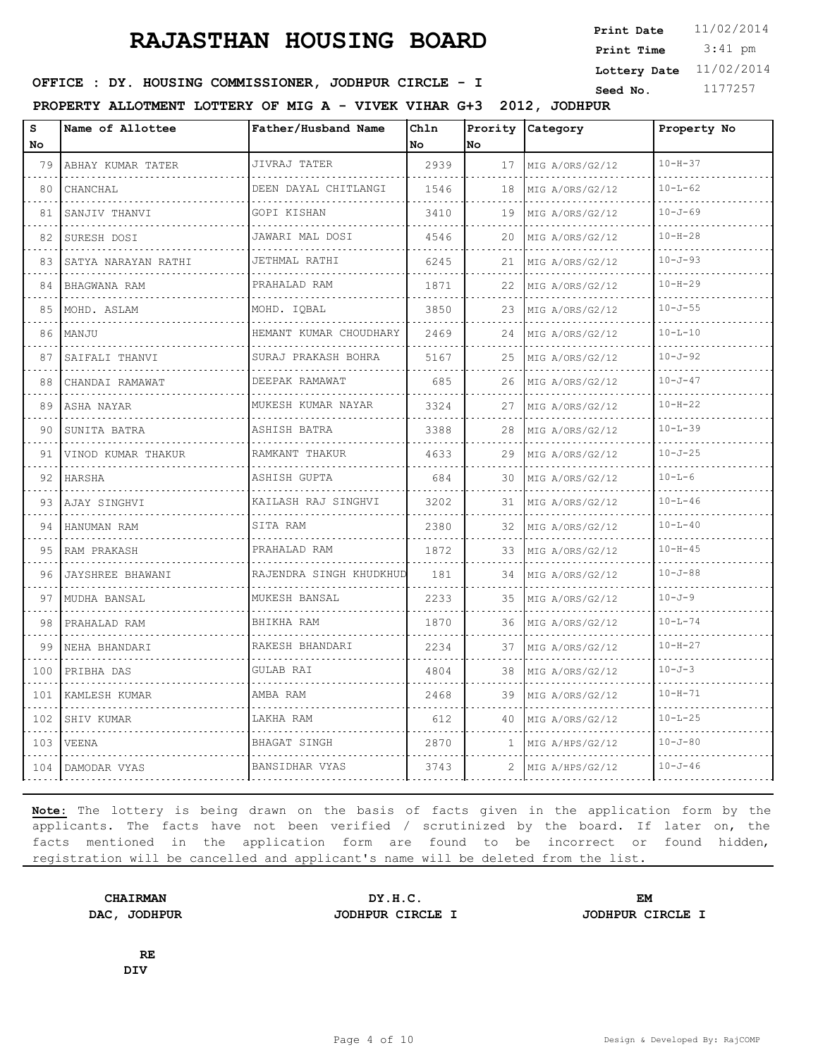3:41 pm **Print Date**  $11/02/2014$ **Print Time Lottery Date** 11/02/2014

### **SEED : DY. HOUSING COMMISSIONER, JODHPUR CIRCLE - I** Seed No. 1177257

**PROPERTY ALLOTMENT LOTTERY OF MIG A - VIVEK VIHAR G+3 2012, JODHPUR**

| S<br>No          | Name of Allottee         | Father/Husband Name              | Chln<br>No | Prority<br>lno. | Category             | Property No   |
|------------------|--------------------------|----------------------------------|------------|-----------------|----------------------|---------------|
| 79               | ABHAY KUMAR TATER        | JIVRAJ TATER<br>.                | 2939       | 17              | MIG A/ORS/G2/12<br>. | $10 - H - 37$ |
| .<br>80          | CHANCHAL                 | DEEN DAYAL CHITLANGI             | 1546       | 18              | MIG A/ORS/G2/12      | $10 - L - 62$ |
| 81               | SANJIV THANVI            | <u>.</u><br>GOPI KISHAN          | 3410       | 19              | MIG A/ORS/G2/12      | $10 - J - 69$ |
| 82               | SURESH DOSI              | JAWARI MAL DOSI<br>.             | 4546       | 20              | MIG A/ORS/G2/12<br>. | $10 - H - 28$ |
| 83               | .<br>SATYA NARAYAN RATHI | JETHMAL RATHI<br>a dia ara-dahar | 6245       | 21              | MIG A/ORS/G2/12      | $10 - J - 93$ |
| 84               | BHAGWANA RAM             | PRAHALAD RAM                     | 1871       | 22              | MIG A/ORS/G2/12      | $10 - H - 29$ |
| 85               | MOHD. ASLAM              | MOHD. IOBAL                      | 3850       | 23              | MIG A/ORS/G2/12      | $10 - J - 55$ |
| $\sim 100$<br>86 | MANJU                    | HEMANT KUMAR CHOUDHARY           | 2469       | 24              | MIG A/ORS/G2/12      | $10 - L - 10$ |
| 87               | SAIFALI THANVI           | SURAJ PRAKASH BOHRA              | 5167       | 25              | MIG A/ORS/G2/12      | $10 - J - 92$ |
| 88               | CHANDAI RAMAWAT          | DEEPAK RAMAWAT                   | 685        | 26              | MIG A/ORS/G2/12      | $10 - J - 47$ |
| 89               | ASHA NAYAR               | MUKESH KUMAR NAYAR<br>.          | 3324       | 27              | MIG A/ORS/G2/12      | $10 - H - 22$ |
| 90               | SUNITA BATRA             | ASHISH BATRA                     | 3388       | 28              | MIG A/ORS/G2/12      | $10 - L - 39$ |
| 91               | VINOD KUMAR THAKUR       | RAMKANT THAKUR<br>.              | 4633       | 29              | MIG A/ORS/G2/12<br>. | $10 - J - 25$ |
| 92               | HARSHA                   | ASHISH GUPTA                     | 684        | 30              | MIG A/ORS/G2/12      | $10 - L - 6$  |
| 93               | AJAY SINGHVI             | KAILASH RAJ SINGHVI              | 3202       | 31              | MIG A/ORS/G2/12      | $10 - L - 46$ |
| 94               | HANUMAN RAM              | SITA RAM                         | 2380       | 32              | MIG A/ORS/G2/12      | $10 - L - 40$ |
| 95               | RAM PRAKASH              | PRAHALAD RAM                     | 1872       | 33              | MIG A/ORS/G2/12      | $10 - H - 45$ |
| 96               | JAYSHREE BHAWANI         | RAJENDRA SINGH KHUDKHUD          | 181        | 34              | MIG A/ORS/G2/12      | $10 - J - 88$ |
| 97               | MUDHA BANSAL             | MUKESH BANSAL<br>.               | 2233       | 35              | MIG A/ORS/G2/12      | $10 - J - 9$  |
| 98               | PRAHALAD RAM             | BHIKHA RAM                       | 1870       | 36              | MIG A/ORS/G2/12      | $10 - L - 74$ |
| 99               | NEHA BHANDARI            | RAKESH BHANDARI                  | 2234       | 37              | MIG A/ORS/G2/12      | $10 - H - 27$ |
| 100              | PRIBHA DAS               | GULAB RAI                        | 4804       | 38              | MIG A/ORS/G2/12      | $10 - J - 3$  |
| 101              | KAMLESH KUMAR            | AMBA RAM                         | 2468       | 39              | MIG A/ORS/G2/12      | $10 - H - 71$ |
| 102              | SHIV KUMAR               | LAKHA RAM                        | 612        | 40              | MIG A/ORS/G2/12      | $10 - L - 25$ |
| 103              | VEENA                    | BHAGAT SINGH<br>.                | 2870       | 1               | MIG A/HPS/G2/12      | $10 - J - 80$ |
| 104              | DAMODAR VYAS             | BANSIDHAR VYAS                   | 3743       | 2               | MIG A/HPS/G2/12      | $10 - J - 46$ |

**Note:** The lottery is being drawn on the basis of facts given in the application form by the applicants. The facts have not been verified / scrutinized by the board. If later on, the facts mentioned in the application form are found to be incorrect or found hidden, registration will be cancelled and applicant's name will be deleted from the list.

**DAC, JODHPUR JODHPUR CIRCLE I JODHPUR CIRCLE I**

**CHAIRMAN DY.H.C. EM**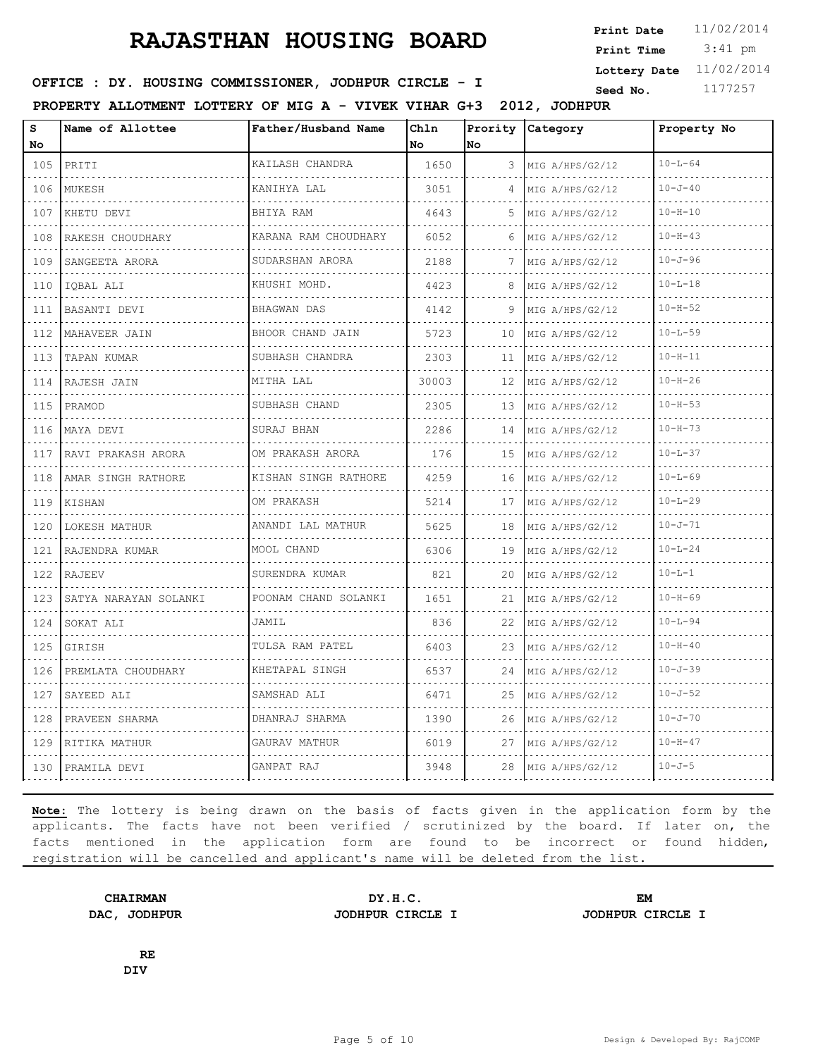3:41 pm **Print Date**  $11/02/2014$ **Print Time Lottery Date** 11/02/2014

### **SEED : DY. HOUSING COMMISSIONER, JODHPUR CIRCLE - I** Seed No. 1177257

**PROPERTY ALLOTMENT LOTTERY OF MIG A - VIVEK VIHAR G+3 2012, JODHPUR**

| s<br>No             | Name of Allottee      | Father/Husband Name  | Chln<br><b>No</b> | Prority<br>lNo. | Category             | Property No   |
|---------------------|-----------------------|----------------------|-------------------|-----------------|----------------------|---------------|
| 105                 | PRITI                 | KAILASH CHANDRA      | 1650              | 3               | MIG A/HPS/G2/12      | $10 - L - 64$ |
| 106                 | MUKESH                | .<br>KANIHYA LAL     | 3051              | 4               | .<br>MIG A/HPS/G2/12 | $10 - J - 40$ |
| 107                 | KHETU DEVI            | BHIYA RAM            | 4643              | 5               | MIG A/HPS/G2/12      | $10 - H - 10$ |
| 108                 | RAKESH CHOUDHARY      | KARANA RAM CHOUDHARY | 6052              | 6               | MIG A/HPS/G2/12      | $10 - H - 43$ |
| 109                 | SANGEETA ARORA        | .<br>SUDARSHAN ARORA | 2188              | 7               | MIG A/HPS/G2/12      | $10 - J - 96$ |
| 110                 | IOBAL ALI             | KHUSHI MOHD.         | 4423              | 8               | MIG A/HPS/G2/12      | $10 - L - 18$ |
| 111                 | BASANTI DEVI          | <b>BHAGWAN DAS</b>   | 4142              | 9               | MIG A/HPS/G2/12      | $10 - H - 52$ |
| $-1 - 1 - 1$<br>112 | MAHAVEER JAIN         | BHOOR CHAND JAIN     | 5723              | 10              | MIG A/HPS/G2/12      | $10 - L - 59$ |
| 113                 | TAPAN KUMAR           | SUBHASH CHANDRA      | 2303              | 11              | MIG A/HPS/G2/12      | $10 - H - 11$ |
| 114                 | RAJESH JAIN           | MITHA LAL            | 30003             | 12              | MIG A/HPS/G2/12      | $10 - H - 26$ |
| 115                 | PRAMOD                | SUBHASH CHAND        | 2305              | 13              | MIG A/HPS/G2/12      | $10 - H - 53$ |
| 116                 | MAYA DEVI             | SURAJ BHAN           | 2286              | 14              | MIG A/HPS/G2/12      | $10 - H - 73$ |
| 117                 | RAVI PRAKASH ARORA    | OM PRAKASH ARORA     | 176               | 15              | MIG A/HPS/G2/12      | $10 - L - 37$ |
| 118                 | AMAR SINGH RATHORE    | KISHAN SINGH RATHORE | 4259              | 16              | MIG A/HPS/G2/12      | $10 - L - 69$ |
| 119                 | KISHAN                | OM PRAKASH           | 5214              | 17              | MIG A/HPS/G2/12      | $10 - 1 - 29$ |
| 120                 | LOKESH MATHUR         | ANANDI LAL MATHUR    | 5625              | 18              | MIG A/HPS/G2/12      | $10 - J - 71$ |
| 121                 | RAJENDRA KUMAR        | MOOL CHAND           | 6306              | 19              | MIG A/HPS/G2/12      | $10 - L - 24$ |
| 122                 | <b>RAJEEV</b>         | SURENDRA KUMAR       | 821               | 20              | MIG A/HPS/G2/12      | $10 - T - 1$  |
| 123                 | SATYA NARAYAN SOLANKI | POONAM CHAND SOLANKI | 1651              | 21              | MIG A/HPS/G2/12      | $10 - H - 69$ |
| 124                 | SOKAT ALI             | JAMIL                | 836               | 22              | MIG A/HPS/G2/12      | $10 - L - 94$ |
| 125                 | GIRISH                | TULSA RAM PATEL<br>. | 6403              | 23              | MIG A/HPS/G2/12      | $10 - H - 40$ |
| 126                 | PREMLATA CHOUDHARY    | KHETAPAL SINGH       | 6537              | 24              | MIG A/HPS/G2/12      | $10 - J - 39$ |
| 127                 | SAYEED ALI            | SAMSHAD ALI          | 6471              | 25              | MIG A/HPS/G2/12      | $10 - J - 52$ |
| 128                 | PRAVEEN SHARMA        | DHANRAJ SHARMA       | 1390              | 26              | MIG A/HPS/G2/12      | $10 - J - 70$ |
| 129                 | RITIKA MATHUR         | GAURAV MATHUR        | 6019              | 27              | MIG A/HPS/G2/12      | $10 - H - 47$ |
| 130                 | PRAMILA DEVI          | GANPAT RAJ           | 3948              | 28              | MIG A/HPS/G2/12      | $10 - J - 5$  |

**Note:** The lottery is being drawn on the basis of facts given in the application form by the applicants. The facts have not been verified / scrutinized by the board. If later on, the facts mentioned in the application form are found to be incorrect or found hidden, registration will be cancelled and applicant's name will be deleted from the list.

**CHAIRMAN DY.H.C. EM DAC, JODHPUR JODHPUR CIRCLE I JODHPUR CIRCLE I**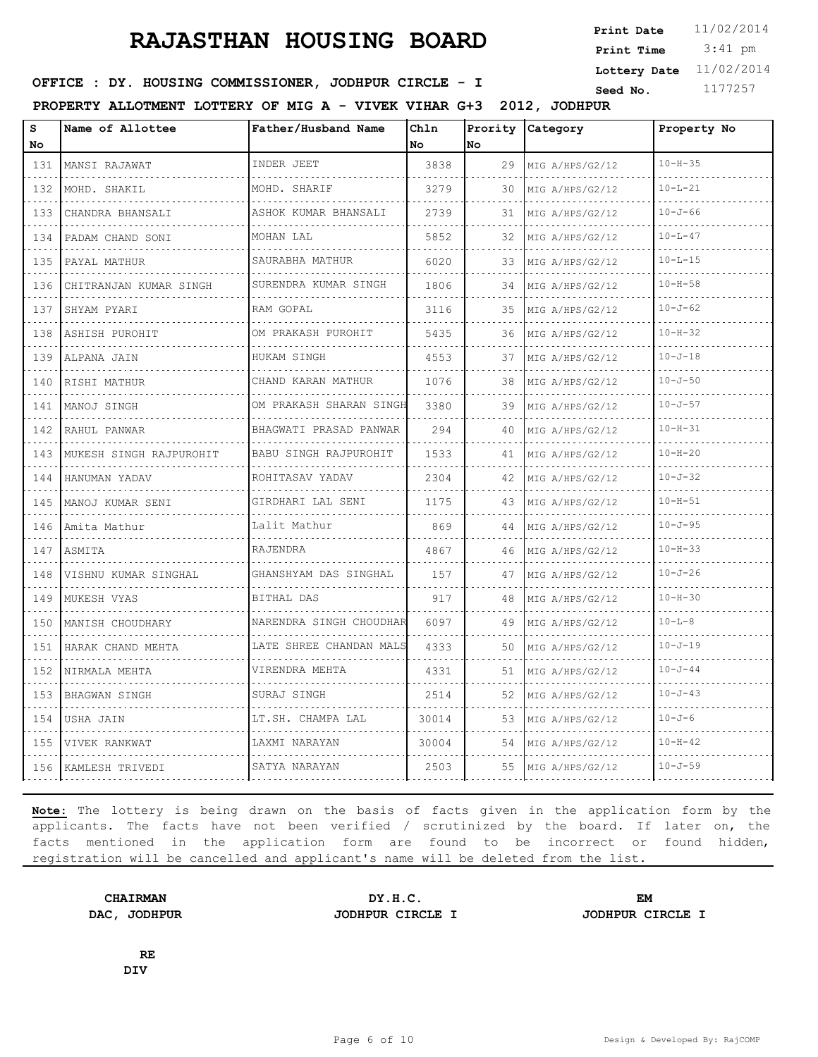3:41 pm **Print Date**  $11/02/2014$ **Print Time Lottery Date** 11/02/2014

### **SEED : DY. HOUSING COMMISSIONER, JODHPUR CIRCLE - I** Seed No. 1177257

**PROPERTY ALLOTMENT LOTTERY OF MIG A - VIVEK VIHAR G+3 2012, JODHPUR**

| s<br>No                                                                                               | Name of Allottee        | Father/Husband Name          | Chln<br><b>No</b> | Prority<br>No | Category             | Property No   |
|-------------------------------------------------------------------------------------------------------|-------------------------|------------------------------|-------------------|---------------|----------------------|---------------|
| 131                                                                                                   | MANSI RAJAWAT           | INDER JEET                   | 3838              | 29            | MIG A/HPS/G2/12      | $10 - H - 35$ |
| $\frac{1}{2} \left( \frac{1}{2} \right) \left( \frac{1}{2} \right) \left( \frac{1}{2} \right)$<br>132 | .<br>MOHD. SHAKIL       | MOHD. SHARIF                 | 3279              | 30            | .<br>MIG A/HPS/G2/12 | $10 - L - 21$ |
| 133                                                                                                   | CHANDRA BHANSALI        | ASHOK KUMAR BHANSALI         | 2739              | 31            | .<br>MIG A/HPS/G2/12 | $10 - J - 66$ |
| 134                                                                                                   | PADAM CHAND SONI        | MOHAN LAL                    | 5852              | 32            | MIG A/HPS/G2/12      | $10 - L - 47$ |
| $\sim$ $\sim$ $\sim$ $\sim$<br>135                                                                    | PAYAL MATHUR            | SAURABHA MATHUR              | 6020              | 33.           | MIG A/HPS/G2/12      | $10 - L - 15$ |
| 136                                                                                                   | CHITRANJAN KUMAR SINGH  | SURENDRA KUMAR SINGH         | 1806              | 34            | MIG A/HPS/G2/12      | $10 - H - 58$ |
| 137                                                                                                   | SHYAM PYARI             | RAM GOPAL                    | 3116              | 35            | MIG A/HPS/G2/12      | $10 - J - 62$ |
| $-1 - 1 - 1$<br>138                                                                                   | .<br>ASHISH PUROHIT     | OM PRAKASH PUROHIT           | 5435              | 36            | MIG A/HPS/G2/12      | $10 - H - 32$ |
| 139                                                                                                   | ALPANA JAIN             | HUKAM SINGH                  | 4553              | 37            | MIG A/HPS/G2/12      | $10 - J - 18$ |
| 140                                                                                                   | RISHI MATHUR            | CHAND KARAN MATHUR           | 1076              | 38            | MIG A/HPS/G2/12      | $10 - J - 50$ |
| $\sim$ $\sim$ $\sim$ $\sim$<br>141                                                                    | MANOJ SINGH             | .<br>OM PRAKASH SHARAN SINGH | 3380              | 39            | MIG A/HPS/G2/12      | $10 - J - 57$ |
| 142                                                                                                   | RAHUL PANWAR            | BHAGWATI PRASAD PANWAR       | 294               | 40            | MIG A/HPS/G2/12      | $10 - H - 31$ |
| 143                                                                                                   | MUKESH SINGH RAJPUROHIT | BABU SINGH RAJPUROHIT        | 1533              | 41            | MIG A/HPS/G2/12      | $10 - H - 20$ |
| 144                                                                                                   | HANUMAN YADAV           | ROHITASAV YADAV              | 2304              | 42            | .<br>MIG A/HPS/G2/12 | $10 - J - 32$ |
| 145                                                                                                   | MANOJ KUMAR SENI        | GIRDHARI LAL SENI            | 1175              | 43            | MIG A/HPS/G2/12      | $10 - H - 51$ |
| 146                                                                                                   | Amita Mathur            | Lalit Mathur                 | 869               | 44            | MIG A/HPS/G2/12      | $10 - J - 95$ |
| 147                                                                                                   | ASMITA                  | RAJENDRA                     | 4867              | 46            | MIG A/HPS/G2/12      | $10 - H - 33$ |
| 148                                                                                                   | VISHNU KUMAR SINGHAL    | GHANSHYAM DAS SINGHAL        | 157               | 47            | MIG A/HPS/G2/12      | $10 - J - 26$ |
| 149                                                                                                   | MUKESH VYAS             | BITHAL DAS                   | 917               | 48            | MIG A/HPS/G2/12      | $10 - H - 30$ |
| 150                                                                                                   | MANISH CHOUDHARY        | NARENDRA SINGH CHOUDHAR      | 6097              | 49            | MIG A/HPS/G2/12      | $10 - L - 8$  |
| 151                                                                                                   | HARAK CHAND MEHTA       | LATE SHREE CHANDAN MALS      | 4333              | 50            | MIG A/HPS/G2/12      | $10 - J - 19$ |
| 152                                                                                                   | NIRMALA MEHTA           | VIRENDRA MEHTA               | 4331              | 51            | MIG A/HPS/G2/12      | $10 - J - 44$ |
| 153                                                                                                   | <b>BHAGWAN SINGH</b>    | <u>.</u><br>SURAJ SINGH      | 2514              | 52            | MIG A/HPS/G2/12      | $10 - J - 43$ |
| 154                                                                                                   | <b>USHA JAIN</b>        | LT.SH. CHAMPA LAL            | 30014             | 53            | MIG A/HPS/G2/12      | $10 - J - 6$  |
| 155                                                                                                   | VIVEK RANKWAT           | LAXMI NARAYAN                | 30004             | 54            | MIG A/HPS/G2/12      | $10 - H - 42$ |
| 156                                                                                                   | KAMLESH TRIVEDI         | SATYA NARAYAN                | 2503              | 55            | MIG A/HPS/G2/12      | $10 - J - 59$ |

**Note:** The lottery is being drawn on the basis of facts given in the application form by the applicants. The facts have not been verified / scrutinized by the board. If later on, the facts mentioned in the application form are found to be incorrect or found hidden, registration will be cancelled and applicant's name will be deleted from the list.

**CHAIRMAN DY.H.C. EM DAC, JODHPUR JODHPUR CIRCLE I JODHPUR CIRCLE I**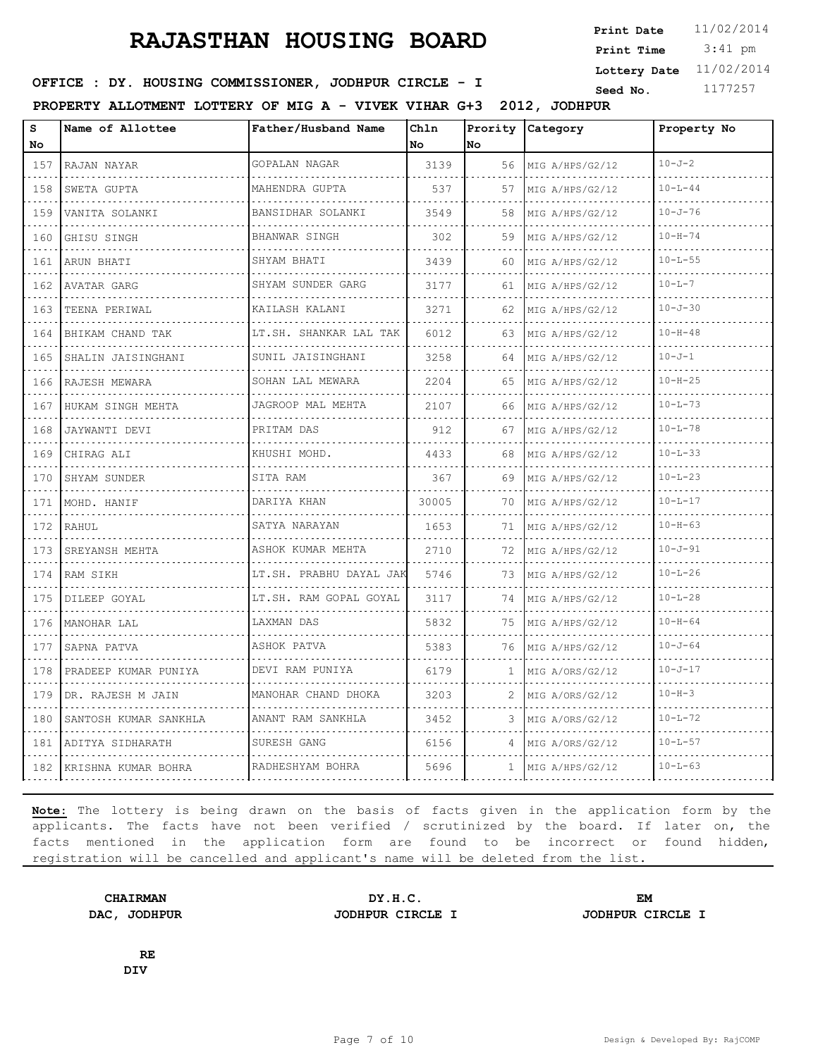3:41 pm **Print Date**  $11/02/2014$ **Print Time Lottery Date** 11/02/2014

### **SEED : DY. HOUSING COMMISSIONER, JODHPUR CIRCLE - I** Seed No. 1177257

**PROPERTY ALLOTMENT LOTTERY OF MIG A - VIVEK VIHAR G+3 2012, JODHPUR**

| s<br><b>No</b>                                                                                                                   | Name of Allottee      | Father/Husband Name                              | Chln<br>No | No           | Prority Category     | Property No   |
|----------------------------------------------------------------------------------------------------------------------------------|-----------------------|--------------------------------------------------|------------|--------------|----------------------|---------------|
| 157                                                                                                                              | RAJAN NAYAR           | GOPALAN NAGAR                                    | 3139       | 56           | MIG A/HPS/G2/12      | $10 - J - 2$  |
| $\frac{1}{2} \left( \frac{1}{2} \right) \left( \frac{1}{2} \right) \left( \frac{1}{2} \right) \left( \frac{1}{2} \right)$<br>158 | .<br>SWETA GUPTA      | <u>.</u><br>MAHENDRA GUPTA                       | 537        | 57           | .<br>MIG A/HPS/G2/12 | $10 - L - 44$ |
| 159                                                                                                                              | VANITA SOLANKI        | BANSIDHAR SOLANKI                                | 3549       | 58           | MIG A/HPS/G2/12      | $10 - J - 76$ |
| 160                                                                                                                              | GHISU SINGH           | <b>BHANWAR SINGH</b><br>.                        | 302        | 59           | MIG A/HPS/G2/12      | $10 - H - 74$ |
| $\sim$ $\sim$ $\sim$ $\sim$<br>161                                                                                               | ARUN BHATI            | SHYAM BHATI                                      | 3439       | 60           | MIG A/HPS/G2/12      | $10 - L - 55$ |
| 162                                                                                                                              | AVATAR GARG<br>.      | SHYAM SUNDER GARG<br>and a complete state of the | 3177       | 61           | MIG A/HPS/G2/12      | $10 - L - 7$  |
| 163                                                                                                                              | TEENA PERIWAL         | KAILASH KALANI                                   | 3271       | 62           | MIG A/HPS/G2/12      | $10 - J - 30$ |
| 164                                                                                                                              | BHIKAM CHAND TAK      | LT.SH. SHANKAR LAL TAK                           | 6012       | 63           | MIG A/HPS/G2/12      | $10 - H - 48$ |
| 165                                                                                                                              | SHALIN JAISINGHANI    | SUNIL JAISINGHANI<br>.                           | 3258       | 64           | MIG A/HPS/G2/12      | $10 - J - 1$  |
| 166                                                                                                                              | RAJESH MEWARA         | SOHAN LAL MEWARA                                 | 2204       | 65           | MIG A/HPS/G2/12      | $10 - H - 25$ |
| 167                                                                                                                              | HUKAM SINGH MEHTA     | JAGROOP MAL MEHTA                                | 2107       | 66.          | MIG A/HPS/G2/12      | $10 - L - 73$ |
| 168                                                                                                                              | JAYWANTI DEVI<br>.    | PRITAM DAS                                       | 912        | 67           | MIG A/HPS/G2/12      | $10 - 1 - 78$ |
| 169                                                                                                                              | CHIRAG ALI            | KHUSHI MOHD.                                     | 4433       | 68           | MIG A/HPS/G2/12      | $10 - L - 33$ |
| 170                                                                                                                              | SHYAM SUNDER          | SITA RAM                                         | 367        | 69           | MIG A/HPS/G2/12      | $10 - L - 23$ |
| 171<br>$\sim$ $\sim$ $\sim$ $\sim$                                                                                               | MOHD. HANIF           | DARIYA KHAN                                      | 30005      | 70           | MIG A/HPS/G2/12      | $10 - L - 17$ |
| 172                                                                                                                              | RAHUL                 | SATYA NARAYAN                                    | 1653       | 71           | MIG A/HPS/G2/12      | $10 - H - 63$ |
| 173<br><b><i><u>P.A.P.</u></i></b>                                                                                               | SREYANSH MEHTA        | ASHOK KUMAR MEHTA                                | 2710       | 72           | MIG A/HPS/G2/12      | $10 - J - 91$ |
| 174                                                                                                                              | RAM SIKH              | LT.SH. PRABHU DAYAL JAK                          | 5746       | 73           | MIG A/HPS/G2/12      | $10 - L - 26$ |
| 175                                                                                                                              | DILEEP GOYAL          | LT.SH. RAM GOPAL GOYAL                           | 3117       | 74           | MIG A/HPS/G2/12      | $10 - L - 28$ |
| 176                                                                                                                              | MANOHAR LAL           | LAXMAN DAS                                       | 5832       | 75           | MIG A/HPS/G2/12      | $10 - H - 64$ |
| 177                                                                                                                              | SAPNA PATVA           | ASHOK PATVA                                      | 5383       | 76           | MIG A/HPS/G2/12      | $10 - J - 64$ |
| 178                                                                                                                              | PRADEEP KUMAR PUNIYA  | DEVI RAM PUNIYA                                  | 6179       | 1            | MIG A/ORS/G2/12      | $10 - J - 17$ |
| 179                                                                                                                              | DR. RAJESH M JAIN     | MANOHAR CHAND DHOKA                              | 3203       | 2            | MIG A/ORS/G2/12      | $10 - H - 3$  |
| 180                                                                                                                              | SANTOSH KUMAR SANKHLA | ANANT RAM SANKHLA                                | 3452       | 3.           | MIG A/ORS/G2/12      | $10 - L - 72$ |
| 181                                                                                                                              | ADITYA SIDHARATH      | SURESH GANG                                      | 6156       | 4            | MIG A/ORS/G2/12      | $10 - L - 57$ |
| 182                                                                                                                              | KRISHNA KUMAR BOHRA   | RADHESHYAM BOHRA                                 | 5696       | $\mathbf{1}$ | MIG A/HPS/G2/12      | $10 - L - 63$ |

**Note:** The lottery is being drawn on the basis of facts given in the application form by the applicants. The facts have not been verified / scrutinized by the board. If later on, the facts mentioned in the application form are found to be incorrect or found hidden, registration will be cancelled and applicant's name will be deleted from the list.

**DAC, JODHPUR JODHPUR CIRCLE I JODHPUR CIRCLE I**

**CHAIRMAN DY.H.C. EM**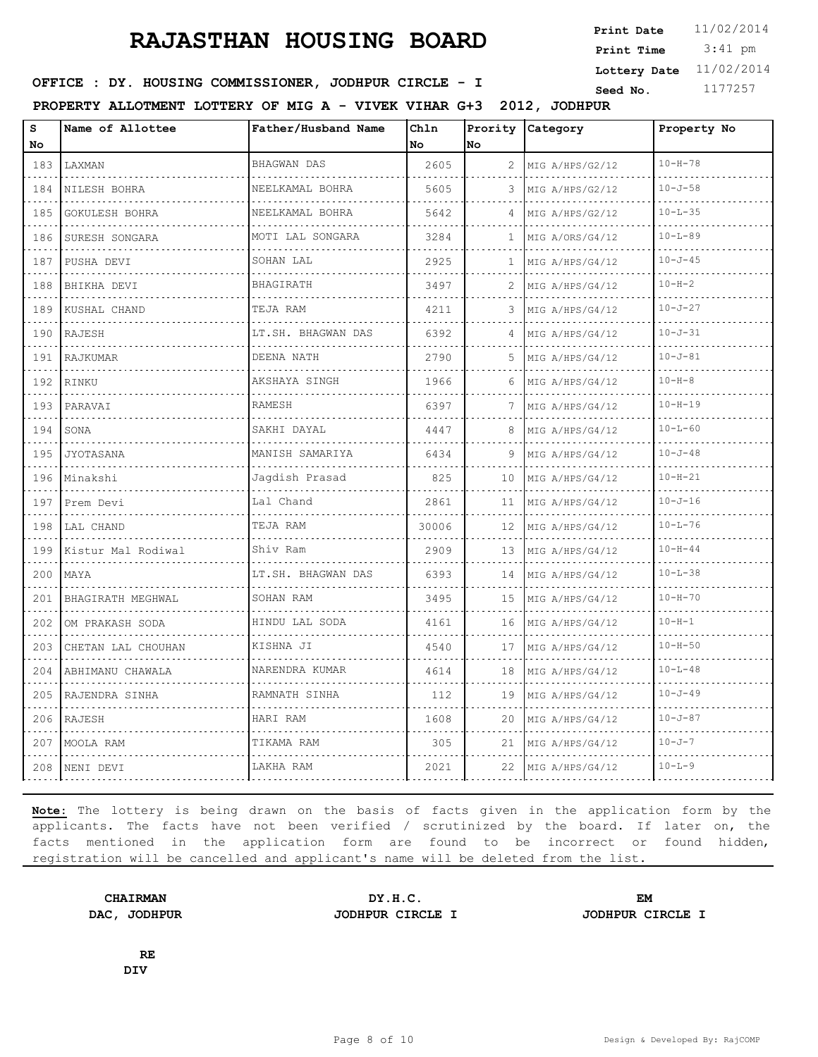3:41 pm **Print Date**  $11/02/2014$ **Print Time Lottery Date** 11/02/2014

### **SEED : DY. HOUSING COMMISSIONER, JODHPUR CIRCLE - I** Seed No. 1177257

**PROPERTY ALLOTMENT LOTTERY OF MIG A - VIVEK VIHAR G+3 2012, JODHPUR**

| S<br>No          | Name of Allottee   | Father/Husband Name  | Chln<br>No | Prority<br>lno    | Category             | Property No   |
|------------------|--------------------|----------------------|------------|-------------------|----------------------|---------------|
| 183              | LAXMAN             | <b>BHAGWAN DAS</b>   | 2605       | 2                 | MIG A/HPS/G2/12      | $10 - H - 78$ |
| $- - - -$<br>184 | NILESH BOHRA       | NEELKAMAL BOHRA      | 5605       | 3                 | .<br>MIG A/HPS/G2/12 | $10 - J - 58$ |
| 185              | GOKULESH BOHRA     | NEELKAMAL BOHRA      | 5642       | 4                 | MIG A/HPS/G2/12      | $10 - L - 35$ |
| 186              | SURESH SONGARA     | MOTI LAL SONGARA     | 3284       | 1                 | MIG A/ORS/G4/12      | $10 - L - 89$ |
| 187              | PUSHA DEVI         | SOHAN LAL            | 2925       | 1                 | MIG A/HPS/G4/12      | $10 - J - 45$ |
| 188              | BHIKHA DEVI        | <b>BHAGIRATH</b>     | 3497       |                   | MIG A/HPS/G4/12      | $10 - H - 2$  |
| 189              | KUSHAL CHAND       | TEJA RAM             | 4211       | 3                 | MIG A/HPS/G4/12      | $10 - J - 27$ |
| 190              | RAJESH             | LT.SH. BHAGWAN DAS   | 6392       | 4                 | MIG A/HPS/G4/12      | $10 - J - 31$ |
| 191              | RAJKUMAR           | DEENA NATH           | 2790       | 5                 | MIG A/HPS/G4/12      | $10 - J - 81$ |
| 192              | RINKU              | AKSHAYA SINGH        | 1966       | 6                 | MIG A/HPS/G4/12      | $10 - H - 8$  |
| 193              | PARAVAI            | RAMESH               | 6397       | 7                 | .<br>MIG A/HPS/G4/12 | $10 - H - 19$ |
| 194              | SONA               | SAKHI DAYAL          | 4447       | 8                 | MIG A/HPS/G4/12      | $10 - L - 60$ |
| 195              | JYOTASANA          | MANISH SAMARIYA<br>. | 6434       | 9                 | MIG A/HPS/G4/12      | $10 - J - 48$ |
| 196              | .<br>Minakshi      | Jagdish Prasad       | 825        | 10                | .<br>MIG A/HPS/G4/12 | $10 - H - 21$ |
| 197              | Prem Devi          | Lal Chand            | 2861       | 11                | MIG A/HPS/G4/12      | $10 - J - 16$ |
| 198              | LAL CHAND          | TEJA RAM             | 30006      | $12 \overline{ }$ | MIG A/HPS/G4/12      | $10 - L - 76$ |
| 199              | Kistur Mal Rodiwal | Shiv Ram             | 2909       | 13                | MIG A/HPS/G4/12      | $10 - H - 44$ |
| 200              | MAYA               | LT.SH. BHAGWAN DAS   | 6393       | 14                | MIG A/HPS/G4/12      | $10 - L - 38$ |
| 201              | BHAGIRATH MEGHWAL  | SOHAN RAM            | 3495       | 15                | MIG A/HPS/G4/12      | $10 - H - 70$ |
| 202              | OM PRAKASH SODA    | HINDU LAL SODA       | 4161       | 16                | MIG A/HPS/G4/12      | $10 - H - 1$  |
| 203              | CHETAN LAL CHOUHAN | KISHNA JI            | 4540       | 17                | MIG A/HPS/G4/12      | $10 - H - 50$ |
| 204              | ABHIMANU CHAWALA   | NARENDRA KUMAR       | 4614       | 18                | MIG A/HPS/G4/12      | $10 - L - 48$ |
| 205              | RAJENDRA SINHA     | .<br>RAMNATH SINHA   | 112        | 19                | MIG A/HPS/G4/12      | $10 - J - 49$ |
| 206              | RAJESH             | HARI RAM             | 1608       | 20                | MIG A/HPS/G4/12      | $10 - J - 87$ |
| 207              | MOOLA RAM          | TIKAMA RAM           | 305        | 21                | MIG A/HPS/G4/12      | $10 - J - 7$  |
| 208              | NENI DEVI          | LAKHA RAM            | 2021       | 22                | MIG A/HPS/G4/12      | $10 - L - 9$  |

**Note:** The lottery is being drawn on the basis of facts given in the application form by the applicants. The facts have not been verified / scrutinized by the board. If later on, the facts mentioned in the application form are found to be incorrect or found hidden, registration will be cancelled and applicant's name will be deleted from the list.

**CHAIRMAN DY.H.C. EM DAC, JODHPUR JODHPUR CIRCLE I JODHPUR CIRCLE I**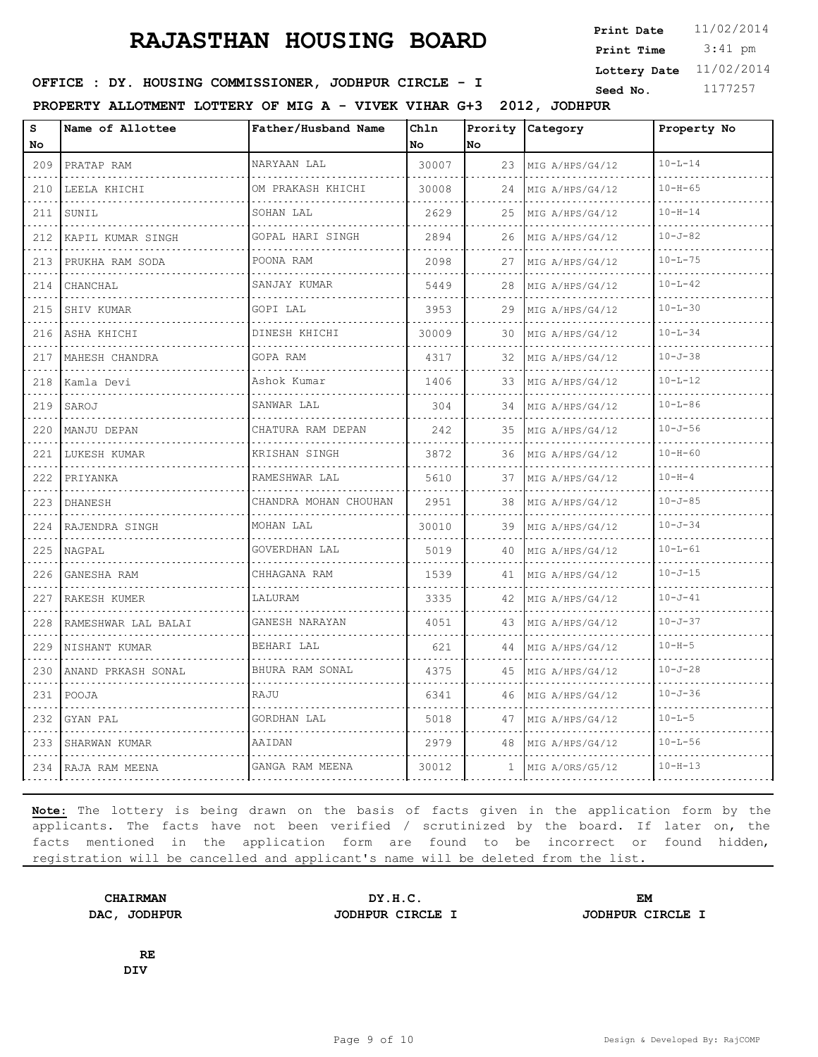3:41 pm **Print Date**  $11/02/2014$ **Print Time Lottery Date** 11/02/2014

### **SEED : DY. HOUSING COMMISSIONER, JODHPUR CIRCLE - I** Seed No. 1177257

**PROPERTY ALLOTMENT LOTTERY OF MIG A - VIVEK VIHAR G+3 2012, JODHPUR**

| s<br>No | Name of Allottee    | Father/Husband Name   | Chln<br>No | Prority<br>lno | Category             | Property No   |
|---------|---------------------|-----------------------|------------|----------------|----------------------|---------------|
| 209     | PRATAP RAM          | NARYAAN LAL           | 30007      | 23             | MIG A/HPS/G4/12      | $10 - L - 14$ |
| 210     | .<br>LEELA KHICHI   | OM PRAKASH KHICHI     | 30008      | 24             | .<br>MIG A/HPS/G4/12 | $10 - H - 65$ |
| 211     | SUNIL               | SOHAN LAL             | 2629       | 25             | MIG A/HPS/G4/12      | $10 - H - 14$ |
| 212     | KAPIL KUMAR SINGH   | GOPAL HARI SINGH      | 2894       | 26             | MIG A/HPS/G4/12      | $10 - J - 82$ |
| 213     | PRUKHA RAM SODA     | POONA RAM             | 2098       | 27             | MIG A/HPS/G4/12      | $10 - L - 75$ |
| 214     | CHANCHAL            | SANJAY KUMAR          | 5449       | 28             | MIG A/HPS/G4/12      | $10 - L - 42$ |
| 215     | SHIV KUMAR          | GOPI LAL              | 3953       | 29             | MIG A/HPS/G4/12      | $10 - L - 30$ |
| 216     | ASHA KHICHI         | DINESH KHICHI         | 30009      | 30             | MIG A/HPS/G4/12      | $10 - L - 34$ |
| 217     | MAHESH CHANDRA      | GOPA RAM              | 4317       | 32             | MIG A/HPS/G4/12      | $10 - J - 38$ |
| 218     | Kamla Devi          | Ashok Kumar           | 1406       | 33             | MIG A/HPS/G4/12      | $10 - L - 12$ |
| 219     | SAROJ               | SANWAR LAL            | 304        | 34             | MIG A/HPS/G4/12      | $10 - 1 - 86$ |
| 220     | MANJU DEPAN         | CHATURA RAM DEPAN     | 242        | 35             | MIG A/HPS/G4/12      | $10 - J - 56$ |
| 221     | LUKESH KUMAR        | KRISHAN SINGH<br>.    | 3872       | 36             | MIG A/HPS/G4/12      | $10 - H - 60$ |
| 222     | PRIYANKA            | RAMESHWAR LAL         | 5610       | 37             | MIG A/HPS/G4/12      | $10 - H - 4$  |
| 223     | <b>DHANESH</b>      | CHANDRA MOHAN CHOUHAN | 2951       | 38             | MIG A/HPS/G4/12      | $10 - J - 85$ |
| 224     | RAJENDRA SINGH      | MOHAN LAL             | 30010      | 39             | MIG A/HPS/G4/12      | $10 - J - 34$ |
| 225     | NAGPAL              | GOVERDHAN LAL         | 5019       | 40             | MIG A/HPS/G4/12      | $10 - L - 61$ |
| 226     | GANESHA RAM         | CHHAGANA RAM          | 1539       | 41             | MIG A/HPS/G4/12      | $10 - J - 15$ |
| 227     | RAKESH KUMER        | LALURAM               | 3335       | 42             | MIG A/HPS/G4/12      | $10 - J - 41$ |
| 228     | RAMESHWAR LAL BALAI | GANESH NARAYAN        | 4051       | 43             | MIG A/HPS/G4/12      | $10 - J - 37$ |
| 229     | NISHANT KUMAR<br>.  | BEHARI LAL            | 621        | 44             | MIG A/HPS/G4/12      | $10 - H - 5$  |
| 230     | ANAND PRKASH SONAL  | BHURA RAM SONAL       | 4375       | 45             | MIG A/HPS/G4/12      | $10 - J - 28$ |
| 231     | POOJA               | RAJU                  | 6341       | 46             | MIG A/HPS/G4/12      | $10 - J - 36$ |
| 232     | GYAN PAL            | GORDHAN LAL           | 5018       | 47             | MIG A/HPS/G4/12      | $10 - L - 5$  |
| 233     | SHARWAN KUMAR       | AAIDAN                | 2979       | 48             | MIG A/HPS/G4/12      | $10 - L - 56$ |
|         | 234 RAJA RAM MEENA  | GANGA RAM MEENA       | 30012      | $\mathbf{1}$   | MIG A/ORS/G5/12      | $10 - H - 13$ |

**Note:** The lottery is being drawn on the basis of facts given in the application form by the applicants. The facts have not been verified / scrutinized by the board. If later on, the facts mentioned in the application form are found to be incorrect or found hidden, registration will be cancelled and applicant's name will be deleted from the list.

**CHAIRMAN DY.H.C. EM DAC, JODHPUR JODHPUR CIRCLE I JODHPUR CIRCLE I**